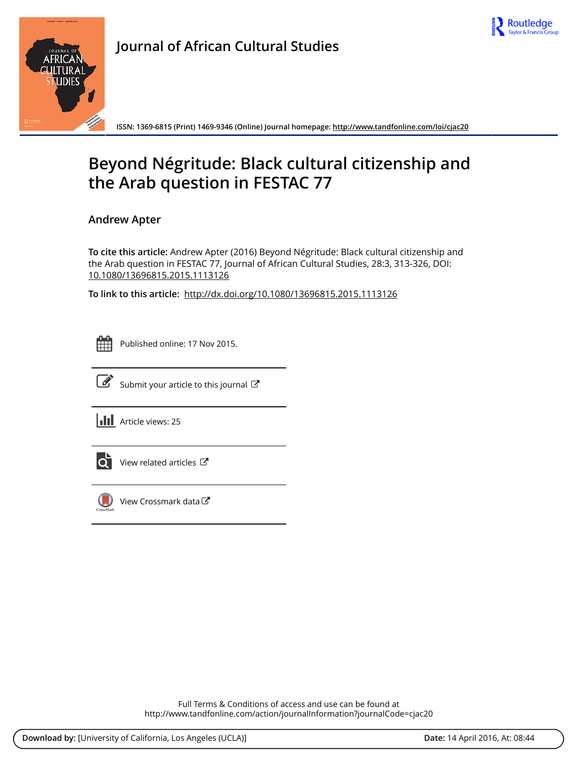



**Journal of African Cultural Studies**

**ISSN: 1369-6815 (Print) 1469-9346 (Online) Journal homepage:<http://www.tandfonline.com/loi/cjac20>**

# **Beyond Négritude: Black cultural citizenship and the Arab question in FESTAC 77**

**Andrew Apter**

**To cite this article:** Andrew Apter (2016) Beyond Négritude: Black cultural citizenship and the Arab question in FESTAC 77, Journal of African Cultural Studies, 28:3, 313-326, DOI: [10.1080/13696815.2015.1113126](http://www.tandfonline.com/action/showCitFormats?doi=10.1080/13696815.2015.1113126)

**To link to this article:** <http://dx.doi.org/10.1080/13696815.2015.1113126>



Published online: 17 Nov 2015.



 $\overline{\mathscr{L}}$  [Submit your article to this journal](http://www.tandfonline.com/action/authorSubmission?journalCode=cjac20&page=instructions)  $\mathbb{Z}$ 

**III** Article views: 25



 $\overrightarrow{Q}$  [View related articles](http://www.tandfonline.com/doi/mlt/10.1080/13696815.2015.1113126)  $\overrightarrow{C}$ 



[View Crossmark data](http://crossmark.crossref.org/dialog/?doi=10.1080/13696815.2015.1113126&domain=pdf&date_stamp=2015-11-17)<sup>で</sup>

Full Terms & Conditions of access and use can be found at <http://www.tandfonline.com/action/journalInformation?journalCode=cjac20>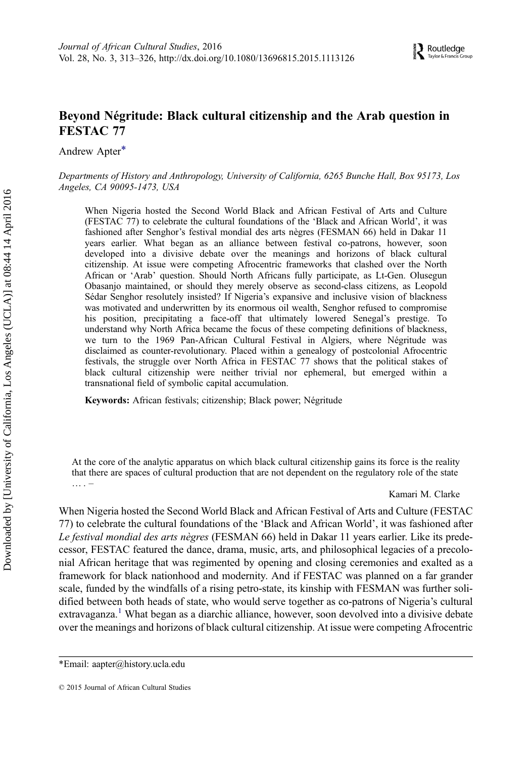# Beyond Négritude: Black cultural citizenship and the Arab question in FESTAC 77

Andrew Apter\*

#### Departments of History and Anthropology, University of California, 6265 Bunche Hall, Box 95173, Los Angeles, CA 90095-1473, USA

When Nigeria hosted the Second World Black and African Festival of Arts and Culture (FESTAC 77) to celebrate the cultural foundations of the 'Black and African World', it was fashioned after Senghor's festival mondial des arts nègres (FESMAN 66) held in Dakar 11 years earlier. What began as an alliance between festival co-patrons, however, soon developed into a divisive debate over the meanings and horizons of black cultural citizenship. At issue were competing Afrocentric frameworks that clashed over the North African or 'Arab' question. Should North Africans fully participate, as Lt-Gen. Olusegun Obasanjo maintained, or should they merely observe as second-class citizens, as Leopold Sédar Senghor resolutely insisted? If Nigeria's expansive and inclusive vision of blackness was motivated and underwritten by its enormous oil wealth, Senghor refused to compromise his position, precipitating a face-off that ultimately lowered Senegal's prestige. To understand why North Africa became the focus of these competing definitions of blackness, we turn to the 1969 Pan-African Cultural Festival in Algiers, where Négritude was disclaimed as counter-revolutionary. Placed within a genealogy of postcolonial Afrocentric festivals, the struggle over North Africa in FESTAC 77 shows that the political stakes of black cultural citizenship were neither trivial nor ephemeral, but emerged within a transnational field of symbolic capital accumulation.

Keywords: African festivals; citizenship; Black power; Négritude

At the core of the analytic apparatus on which black cultural citizenship gains its force is the reality that there are spaces of cultural production that are not dependent on the regulatory role of the state … . –

Kamari M. Clarke

When Nigeria hosted the Second World Black and African Festival of Arts and Culture (FESTAC 77) to celebrate the cultural foundations of the 'Black and African World', it was fashioned after Le festival mondial des arts nègres (FESMAN 66) held in Dakar 11 years earlier. Like its predecessor, FESTAC featured the dance, drama, music, arts, and philosophical legacies of a precolonial African heritage that was regimented by opening and closing ceremonies and exalted as a framework for black nationhood and modernity. And if FESTAC was planned on a far grander scale, funded by the windfalls of a rising petro-state, its kinship with FESMAN was further solidified between both heads of state, who would serve together as co-patrons of Nigeria's cultural extravaganza.<sup>[1](#page-10-0)</sup> What began as a diarchic alliance, however, soon devolved into a divisive debate over the meanings and horizons of black cultural citizenship. At issue were competing Afrocentric

<sup>\*</sup>Email: [aapter@history.ucla.edu](mailto:aapter@history.ucla.edu)

<sup>© 2015</sup> Journal of African Cultural Studies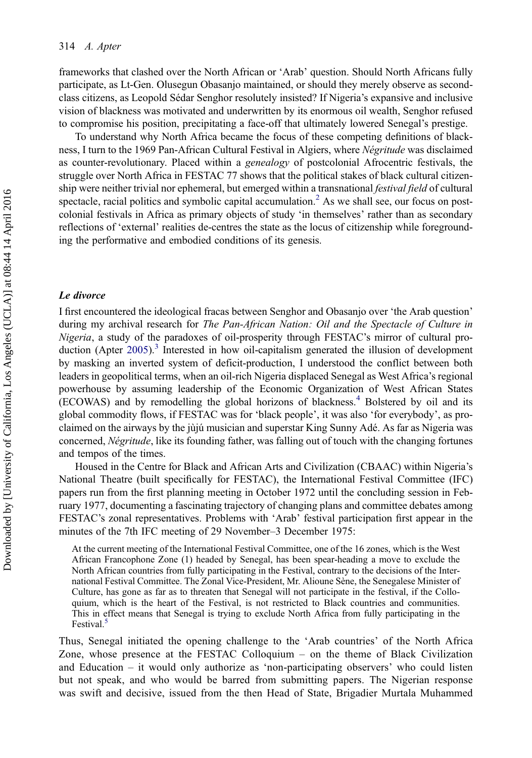<span id="page-2-0"></span>frameworks that clashed over the North African or 'Arab' question. Should North Africans fully participate, as Lt-Gen. Olusegun Obasanjo maintained, or should they merely observe as secondclass citizens, as Leopold Sédar Senghor resolutely insisted? If Nigeria's expansive and inclusive vision of blackness was motivated and underwritten by its enormous oil wealth, Senghor refused to compromise his position, precipitating a face-off that ultimately lowered Senegal's prestige.

To understand why North Africa became the focus of these competing definitions of blackness, I turn to the 1969 Pan-African Cultural Festival in Algiers, where Négritude was disclaimed as counter-revolutionary. Placed within a genealogy of postcolonial Afrocentric festivals, the struggle over North Africa in FESTAC 77 shows that the political stakes of black cultural citizenship were neither trivial nor ephemeral, but emerged within a transnational *festival field* of cultural spectacle, racial politics and symbolic capital accumulation.<sup>[2](#page-10-0)</sup> As we shall see, our focus on postcolonial festivals in Africa as primary objects of study 'in themselves' rather than as secondary reflections of 'external' realities de-centres the state as the locus of citizenship while foregrounding the performative and embodied conditions of its genesis.

#### Le divorce

I first encountered the ideological fracas between Senghor and Obasanjo over 'the Arab question' during my archival research for The Pan-African Nation: Oil and the Spectacle of Culture in Nigeria, a study of the paradoxes of oil-prosperity through FESTAC's mirror of cultural pro-duction (Apter [2005\)](#page-12-0).<sup>[3](#page-10-0)</sup> Interested in how oil-capitalism generated the illusion of development by masking an inverted system of deficit-production, I understood the conflict between both leaders in geopolitical terms, when an oil-rich Nigeria displaced Senegal as West Africa's regional powerhouse by assuming leadership of the Economic Organization of West African States (ECOWAS) and by remodelling the global horizons of blackness.<sup>[4](#page-11-0)</sup> Bolstered by oil and its global commodity flows, if FESTAC was for 'black people', it was also 'for everybody', as proclaimed on the airways by the jùjú musician and superstar King Sunny Adé. As far as Nigeria was concerned, Négritude, like its founding father, was falling out of touch with the changing fortunes and tempos of the times.

Housed in the Centre for Black and African Arts and Civilization (CBAAC) within Nigeria's National Theatre (built specifically for FESTAC), the International Festival Committee (IFC) papers run from the first planning meeting in October 1972 until the concluding session in February 1977, documenting a fascinating trajectory of changing plans and committee debates among FESTAC's zonal representatives. Problems with 'Arab' festival participation first appear in the minutes of the 7th IFC meeting of 29 November–3 December 1975:

At the current meeting of the International Festival Committee, one of the 16 zones, which is the West African Francophone Zone (1) headed by Senegal, has been spear-heading a move to exclude the North African countries from fully participating in the Festival, contrary to the decisions of the International Festival Committee. The Zonal Vice-President, Mr. Alioune Sène, the Senegalese Minister of Culture, has gone as far as to threaten that Senegal will not participate in the festival, if the Colloquium, which is the heart of the Festival, is not restricted to Black countries and communities. This in effect means that Senegal is trying to exclude North Africa from fully participating in the Festival.<sup>[5](#page-11-0)</sup>

Thus, Senegal initiated the opening challenge to the 'Arab countries' of the North Africa Zone, whose presence at the FESTAC Colloquium – on the theme of Black Civilization and Education – it would only authorize as 'non-participating observers' who could listen but not speak, and who would be barred from submitting papers. The Nigerian response was swift and decisive, issued from the then Head of State, Brigadier Murtala Muhammed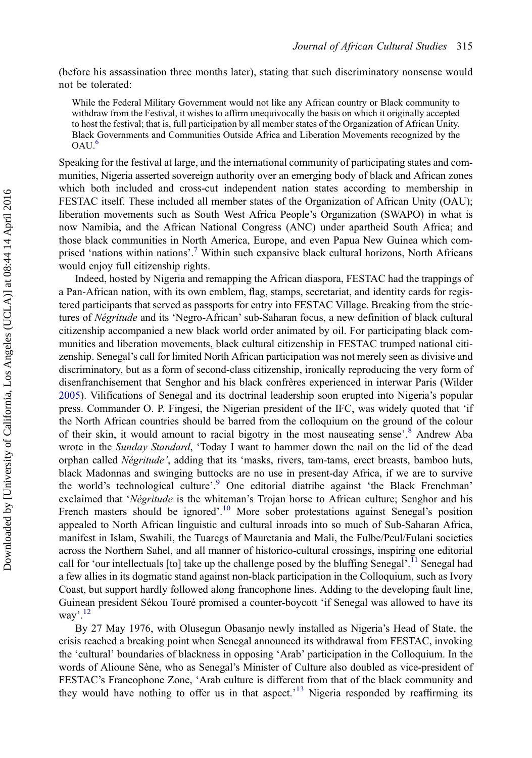<span id="page-3-0"></span>(before his assassination three months later), stating that such discriminatory nonsense would not be tolerated:

While the Federal Military Government would not like any African country or Black community to withdraw from the Festival, it wishes to affirm unequivocally the basis on which it originally accepted to host the festival; that is, full participation by all member states of the Organization of African Unity, Black Governments and Communities Outside Africa and Liberation Movements recognized by the OAU.[6](#page-11-0)

Speaking for the festival at large, and the international community of participating states and communities, Nigeria asserted sovereign authority over an emerging body of black and African zones which both included and cross-cut independent nation states according to membership in FESTAC itself. These included all member states of the Organization of African Unity (OAU); liberation movements such as South West Africa People's Organization (SWAPO) in what is now Namibia, and the African National Congress (ANC) under apartheid South Africa; and those black communities in North America, Europe, and even Papua New Guinea which com-prised 'nations within nations'.<sup>[7](#page-11-0)</sup> Within such expansive black cultural horizons, North Africans would enjoy full citizenship rights.

Indeed, hosted by Nigeria and remapping the African diaspora, FESTAC had the trappings of a Pan-African nation, with its own emblem, flag, stamps, secretariat, and identity cards for registered participants that served as passports for entry into FESTAC Village. Breaking from the strictures of Négritude and its 'Negro-African' sub-Saharan focus, a new definition of black cultural citizenship accompanied a new black world order animated by oil. For participating black communities and liberation movements, black cultural citizenship in FESTAC trumped national citizenship. Senegal's call for limited North African participation was not merely seen as divisive and discriminatory, but as a form of second-class citizenship, ironically reproducing the very form of disenfranchisement that Senghor and his black confrères experienced in interwar Paris (Wilder [2005\)](#page-14-0). Vilifications of Senegal and its doctrinal leadership soon erupted into Nigeria's popular press. Commander O. P. Fingesi, the Nigerian president of the IFC, was widely quoted that 'if the North African countries should be barred from the colloquium on the ground of the colour of their skin, it would amount to racial bigotry in the most nauseating sense'. [8](#page-11-0) Andrew Aba wrote in the Sunday Standard, 'Today I want to hammer down the nail on the lid of the dead orphan called Négritude', adding that its 'masks, rivers, tam-tams, erect breasts, bamboo huts, black Madonnas and swinging buttocks are no use in present-day Africa, if we are to survive the world's technological culture'. [9](#page-11-0) One editorial diatribe against 'the Black Frenchman' exclaimed that 'Négritude is the whiteman's Trojan horse to African culture; Senghor and his French masters should be ignored'.<sup>[10](#page-11-0)</sup> More sober protestations against Senegal's position appealed to North African linguistic and cultural inroads into so much of Sub-Saharan Africa, manifest in Islam, Swahili, the Tuaregs of Mauretania and Mali, the Fulbe/Peul/Fulani societies across the Northern Sahel, and all manner of historico-cultural crossings, inspiring one editorial call for 'our intellectuals [to] take up the challenge posed by the bluffing Senegal'.<sup>[11](#page-11-0)</sup> Senegal had a few allies in its dogmatic stand against non-black participation in the Colloquium, such as Ivory Coast, but support hardly followed along francophone lines. Adding to the developing fault line, Guinean president Sékou Touré promised a counter-boycott 'if Senegal was allowed to have its way'. [12](#page-11-0)

By 27 May 1976, with Olusegun Obasanjo newly installed as Nigeria's Head of State, the crisis reached a breaking point when Senegal announced its withdrawal from FESTAC, invoking the 'cultural' boundaries of blackness in opposing 'Arab' participation in the Colloquium. In the words of Alioune Sène, who as Senegal's Minister of Culture also doubled as vice-president of FESTAC's Francophone Zone, 'Arab culture is different from that of the black community and they would have nothing to offer us in that aspect.<sup>[13](#page-11-0)</sup> Nigeria responded by reaffirming its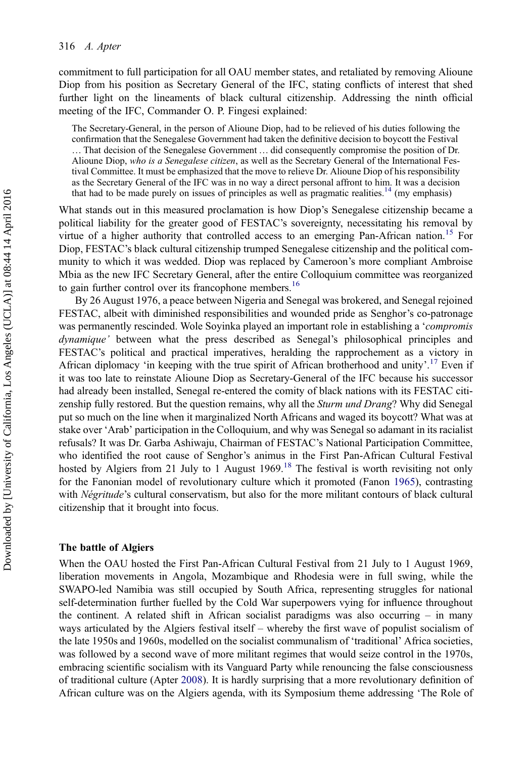<span id="page-4-0"></span>commitment to full participation for all OAU member states, and retaliated by removing Alioune Diop from his position as Secretary General of the IFC, stating conflicts of interest that shed further light on the lineaments of black cultural citizenship. Addressing the ninth official meeting of the IFC, Commander O. P. Fingesi explained:

The Secretary-General, in the person of Alioune Diop, had to be relieved of his duties following the confirmation that the Senegalese Government had taken the definitive decision to boycott the Festival … That decision of the Senegalese Government … did consequently compromise the position of Dr. Alioune Diop, who is a Senegalese citizen, as well as the Secretary General of the International Festival Committee. It must be emphasized that the move to relieve Dr. Alioune Diop of his responsibility as the Secretary General of the IFC was in no way a direct personal affront to him. It was a decision that had to be made purely on issues of principles as well as pragmatic realities.<sup>[14](#page-11-0)</sup> (my emphasis)

What stands out in this measured proclamation is how Diop's Senegalese citizenship became a political liability for the greater good of FESTAC's sovereignty, necessitating his removal by virtue of a higher authority that controlled access to an emerging Pan-African nation.<sup>[15](#page-11-0)</sup> For Diop, FESTAC's black cultural citizenship trumped Senegalese citizenship and the political community to which it was wedded. Diop was replaced by Cameroon's more compliant Ambroise Mbia as the new IFC Secretary General, after the entire Colloquium committee was reorganized to gain further control over its francophone members.<sup>[16](#page-11-0)</sup>

By 26 August 1976, a peace between Nigeria and Senegal was brokered, and Senegal rejoined FESTAC, albeit with diminished responsibilities and wounded pride as Senghor's co-patronage was permanently rescinded. Wole Soyinka played an important role in establishing a 'compromis dynamique' between what the press described as Senegal's philosophical principles and FESTAC's political and practical imperatives, heralding the rapprochement as a victory in African diplomacy 'in keeping with the true spirit of African brotherhood and unity'.<sup>[17](#page-11-0)</sup> Even if it was too late to reinstate Alioune Diop as Secretary-General of the IFC because his successor had already been installed, Senegal re-entered the comity of black nations with its FESTAC citizenship fully restored. But the question remains, why all the *Sturm und Drang*? Why did Senegal put so much on the line when it marginalized North Africans and waged its boycott? What was at stake over 'Arab' participation in the Colloquium, and why was Senegal so adamant in its racialist refusals? It was Dr. Garba Ashiwaju, Chairman of FESTAC's National Participation Committee, who identified the root cause of Senghor's animus in the First Pan-African Cultural Festival hosted by Algiers from 21 July to 1 August 1969.<sup>[18](#page-11-0)</sup> The festival is worth revisiting not only for the Fanonian model of revolutionary culture which it promoted (Fanon [1965](#page-13-0)), contrasting with Négritude's cultural conservatism, but also for the more militant contours of black cultural citizenship that it brought into focus.

#### The battle of Algiers

When the OAU hosted the First Pan-African Cultural Festival from 21 July to 1 August 1969, liberation movements in Angola, Mozambique and Rhodesia were in full swing, while the SWAPO-led Namibia was still occupied by South Africa, representing struggles for national self-determination further fuelled by the Cold War superpowers vying for influence throughout the continent. A related shift in African socialist paradigms was also occurring  $-$  in many ways articulated by the Algiers festival itself – whereby the first wave of populist socialism of the late 1950s and 1960s, modelled on the socialist communalism of 'traditional' Africa societies, was followed by a second wave of more militant regimes that would seize control in the 1970s, embracing scientific socialism with its Vanguard Party while renouncing the false consciousness of traditional culture (Apter [2008\)](#page-12-0). It is hardly surprising that a more revolutionary definition of African culture was on the Algiers agenda, with its Symposium theme addressing 'The Role of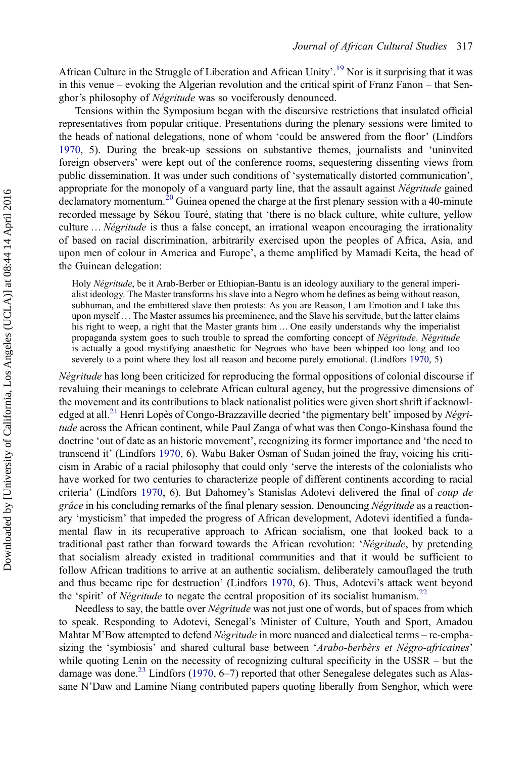<span id="page-5-0"></span>African Culture in the Struggle of Liberation and African Unity'.<sup>[19](#page-11-0)</sup> Nor is it surprising that it was in this venue – evoking the Algerian revolution and the critical spirit of Franz Fanon – that Senghor's philosophy of Négritude was so vociferously denounced.

Tensions within the Symposium began with the discursive restrictions that insulated official representatives from popular critique. Presentations during the plenary sessions were limited to the heads of national delegations, none of whom 'could be answered from the floor' (Lindfors [1970,](#page-13-0) 5). During the break-up sessions on substantive themes, journalists and 'uninvited foreign observers' were kept out of the conference rooms, sequestering dissenting views from public dissemination. It was under such conditions of 'systematically distorted communication', appropriate for the monopoly of a vanguard party line, that the assault against *Négritude* gained declamatory momentum.<sup>[20](#page-11-0)</sup> Guinea opened the charge at the first plenary session with a 40-minute recorded message by Sékou Touré, stating that 'there is no black culture, white culture, yellow culture ... *Négritude* is thus a false concept, an irrational weapon encouraging the irrationality of based on racial discrimination, arbitrarily exercised upon the peoples of Africa, Asia, and upon men of colour in America and Europe', a theme amplified by Mamadi Keita, the head of the Guinean delegation:

Holy Négritude, be it Arab-Berber or Ethiopian-Bantu is an ideology auxiliary to the general imperialist ideology. The Master transforms his slave into a Negro whom he defines as being without reason, subhuman, and the embittered slave then protests: As you are Reason, I am Emotion and I take this upon myself … The Master assumes his preeminence, and the Slave his servitude, but the latter claims his right to weep, a right that the Master grants him ... One easily understands why the imperialist propaganda system goes to such trouble to spread the comforting concept of Négritude. Négritude is actually a good mystifying anaesthetic for Negroes who have been whipped too long and too severely to a point where they lost all reason and become purely emotional. (Lindfors [1970,](#page-13-0) 5)

Négritude has long been criticized for reproducing the formal oppositions of colonial discourse if revaluing their meanings to celebrate African cultural agency, but the progressive dimensions of the movement and its contributions to black nationalist politics were given short shrift if acknowl-edged at all.<sup>[21](#page-11-0)</sup> Henri Lopès of Congo-Brazzaville decried 'the pigmentary belt' imposed by Négritude across the African continent, while Paul Zanga of what was then Congo-Kinshasa found the doctrine 'out of date as an historic movement', recognizing its former importance and 'the need to transcend it' (Lindfors [1970](#page-13-0), 6). Wabu Baker Osman of Sudan joined the fray, voicing his criticism in Arabic of a racial philosophy that could only 'serve the interests of the colonialists who have worked for two centuries to characterize people of different continents according to racial criteria' (Lindfors [1970,](#page-13-0) 6). But Dahomey's Stanislas Adotevi delivered the final of coup de grâce in his concluding remarks of the final plenary session. Denouncing Négritude as a reactionary 'mysticism' that impeded the progress of African development, Adotevi identified a fundamental flaw in its recuperative approach to African socialism, one that looked back to a traditional past rather than forward towards the African revolution: 'Négritude, by pretending that socialism already existed in traditional communities and that it would be sufficient to follow African traditions to arrive at an authentic socialism, deliberately camouflaged the truth and thus became ripe for destruction' (Lindfors [1970](#page-13-0), 6). Thus, Adotevi's attack went beyond the 'spirit' of Négritude to negate the central proposition of its socialist humanism.<sup>[22](#page-11-0)</sup>

Needless to say, the battle over *Négritude* was not just one of words, but of spaces from which to speak. Responding to Adotevi, Senegal's Minister of Culture, Youth and Sport, Amadou Mahtar M'Bow attempted to defend *Négritude* in more nuanced and dialectical terms – re-emphasizing the 'symbiosis' and shared cultural base between 'Arabo-berbèrs et Négro-africaines' while quoting Lenin on the necessity of recognizing cultural specificity in the USSR – but the damage was done.<sup>[23](#page-11-0)</sup> Lindfors ([1970,](#page-13-0) 6-7) reported that other Senegalese delegates such as Alassane N'Daw and Lamine Niang contributed papers quoting liberally from Senghor, which were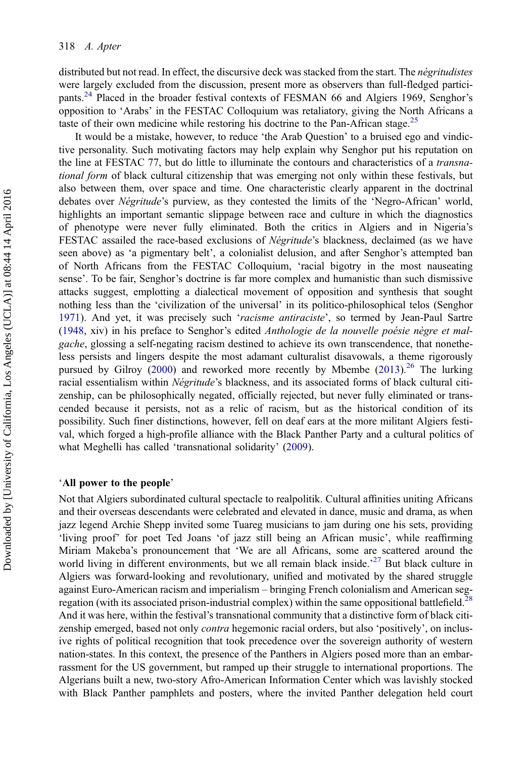<span id="page-6-0"></span>distributed but not read. In effect, the discursive deck was stacked from the start. The *négritudistes* were largely excluded from the discussion, present more as observers than full-fledged partici-pants.<sup>[24](#page-11-0)</sup> Placed in the broader festival contexts of FESMAN 66 and Algiers 1969, Senghor's opposition to 'Arabs' in the FESTAC Colloquium was retaliatory, giving the North Africans a taste of their own medicine while restoring his doctrine to the Pan-African stage.<sup>[25](#page-11-0)</sup>

It would be a mistake, however, to reduce 'the Arab Question' to a bruised ego and vindictive personality. Such motivating factors may help explain why Senghor put his reputation on the line at FESTAC 77, but do little to illuminate the contours and characteristics of a transnational form of black cultural citizenship that was emerging not only within these festivals, but also between them, over space and time. One characteristic clearly apparent in the doctrinal debates over Négritude's purview, as they contested the limits of the 'Negro-African' world, highlights an important semantic slippage between race and culture in which the diagnostics of phenotype were never fully eliminated. Both the critics in Algiers and in Nigeria's FESTAC assailed the race-based exclusions of Négritude's blackness, declaimed (as we have seen above) as 'a pigmentary belt', a colonialist delusion, and after Senghor's attempted ban of North Africans from the FESTAC Colloquium, 'racial bigotry in the most nauseating sense'. To be fair, Senghor's doctrine is far more complex and humanistic than such dismissive attacks suggest, emplotting a dialectical movement of opposition and synthesis that sought nothing less than the 'civilization of the universal' in its politico-philosophical telos (Senghor [1971\)](#page-13-0). And yet, it was precisely such 'racisme antiraciste', so termed by Jean-Paul Sartre ([1948,](#page-13-0) xiv) in his preface to Senghor's edited Anthologie de la nouvelle poésie nègre et malgache, glossing a self-negating racism destined to achieve its own transcendence, that nonetheless persists and lingers despite the most adamant culturalist disavowals, a theme rigorously pursued by Gilroy [\(2000](#page-13-0)) and reworked more recently by Mbembe [\(2013](#page-13-0)).<sup>[26](#page-12-0)</sup> The lurking racial essentialism within Négritude's blackness, and its associated forms of black cultural citizenship, can be philosophically negated, officially rejected, but never fully eliminated or transcended because it persists, not as a relic of racism, but as the historical condition of its possibility. Such finer distinctions, however, fell on deaf ears at the more militant Algiers festival, which forged a high-profile alliance with the Black Panther Party and a cultural politics of what Meghelli has called 'transnational solidarity' ([2009\)](#page-13-0).

#### 'All power to the people'

Not that Algiers subordinated cultural spectacle to realpolitik. Cultural affinities uniting Africans and their overseas descendants were celebrated and elevated in dance, music and drama, as when jazz legend Archie Shepp invited some Tuareg musicians to jam during one his sets, providing 'living proof' for poet Ted Joans 'of jazz still being an African music', while reaffirming Miriam Makeba's pronouncement that 'We are all Africans, some are scattered around the world living in different environments, but we all remain black inside.<sup>[27](#page-12-0)</sup> But black culture in Algiers was forward-looking and revolutionary, unified and motivated by the shared struggle against Euro-American racism and imperialism – bringing French colonialism and American segregation (with its associated prison-industrial complex) within the same oppositional battlefield.<sup>28</sup> And it was here, within the festival's transnational community that a distinctive form of black citizenship emerged, based not only *contra* hegemonic racial orders, but also 'positively', on inclusive rights of political recognition that took precedence over the sovereign authority of western nation-states. In this context, the presence of the Panthers in Algiers posed more than an embarrassment for the US government, but ramped up their struggle to international proportions. The Algerians built a new, two-story Afro-American Information Center which was lavishly stocked with Black Panther pamphlets and posters, where the invited Panther delegation held court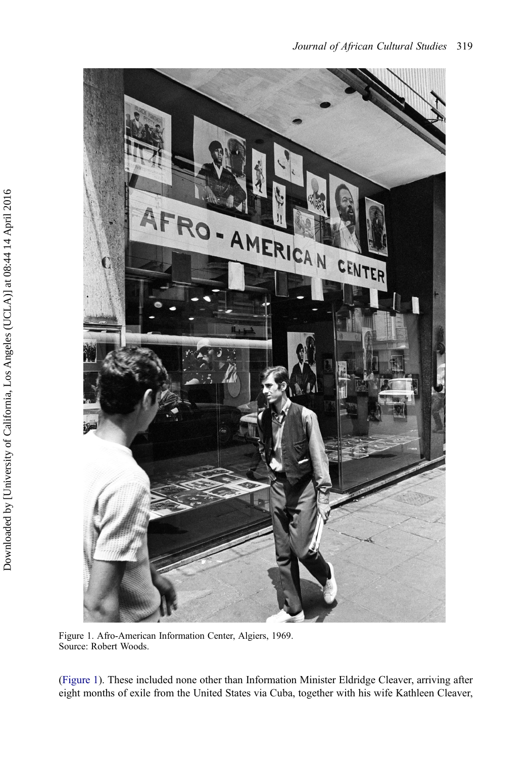

Figure 1. Afro-American Information Center, Algiers, 1969. Source: Robert Woods.

(Figure 1). These included none other than Information Minister Eldridge Cleaver, arriving after eight months of exile from the United States via Cuba, together with his wife Kathleen Cleaver,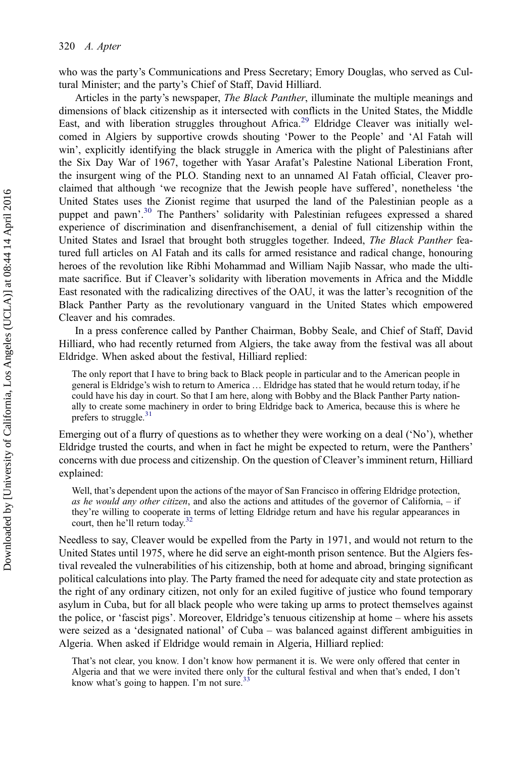who was the party's Communications and Press Secretary; Emory Douglas, who served as Cultural Minister; and the party's Chief of Staff, David Hilliard.

Articles in the party's newspaper, *The Black Panther*, illuminate the multiple meanings and dimensions of black citizenship as it intersected with conflicts in the United States, the Middle East, and with liberation struggles throughout Africa.<sup>29</sup> Eldridge Cleaver was initially welcomed in Algiers by supportive crowds shouting 'Power to the People' and 'Al Fatah will win', explicitly identifying the black struggle in America with the plight of Palestinians after the Six Day War of 1967, together with Yasar Arafat's Palestine National Liberation Front, the insurgent wing of the PLO. Standing next to an unnamed Al Fatah official, Cleaver proclaimed that although 'we recognize that the Jewish people have suffered', nonetheless 'the United States uses the Zionist regime that usurped the land of the Palestinian people as a puppet and pawn'.<sup>[30](#page-12-0)</sup> The Panthers' solidarity with Palestinian refugees expressed a shared experience of discrimination and disenfranchisement, a denial of full citizenship within the United States and Israel that brought both struggles together. Indeed, *The Black Panther* featured full articles on Al Fatah and its calls for armed resistance and radical change, honouring heroes of the revolution like Ribhi Mohammad and William Najib Nassar, who made the ultimate sacrifice. But if Cleaver's solidarity with liberation movements in Africa and the Middle East resonated with the radicalizing directives of the OAU, it was the latter's recognition of the Black Panther Party as the revolutionary vanguard in the United States which empowered Cleaver and his comrades.

In a press conference called by Panther Chairman, Bobby Seale, and Chief of Staff, David Hilliard, who had recently returned from Algiers, the take away from the festival was all about Eldridge. When asked about the festival, Hilliard replied:

The only report that I have to bring back to Black people in particular and to the American people in general is Eldridge's wish to return to America … Eldridge has stated that he would return today, if he could have his day in court. So that I am here, along with Bobby and the Black Panther Party nationally to create some machinery in order to bring Eldridge back to America, because this is where he prefers to struggle.<sup>[31](#page-12-0)</sup>

Emerging out of a flurry of questions as to whether they were working on a deal ('No'), whether Eldridge trusted the courts, and when in fact he might be expected to return, were the Panthers' concerns with due process and citizenship. On the question of Cleaver's imminent return, Hilliard explained:

Well, that's dependent upon the actions of the mayor of San Francisco in offering Eldridge protection, as he would any other citizen, and also the actions and attitudes of the governor of California, – if they're willing to cooperate in terms of letting Eldridge return and have his regular appearances in court, then he'll return today.<sup>[32](#page-12-0)</sup>

Needless to say, Cleaver would be expelled from the Party in 1971, and would not return to the United States until 1975, where he did serve an eight-month prison sentence. But the Algiers festival revealed the vulnerabilities of his citizenship, both at home and abroad, bringing significant political calculations into play. The Party framed the need for adequate city and state protection as the right of any ordinary citizen, not only for an exiled fugitive of justice who found temporary asylum in Cuba, but for all black people who were taking up arms to protect themselves against the police, or 'fascist pigs'. Moreover, Eldridge's tenuous citizenship at home – where his assets were seized as a 'designated national' of Cuba – was balanced against different ambiguities in Algeria. When asked if Eldridge would remain in Algeria, Hilliard replied:

That's not clear, you know. I don't know how permanent it is. We were only offered that center in Algeria and that we were invited there only for the cultural festival and when that's ended, I don't know what's going to happen. I'm not sure.<sup>[33](#page-12-0)</sup>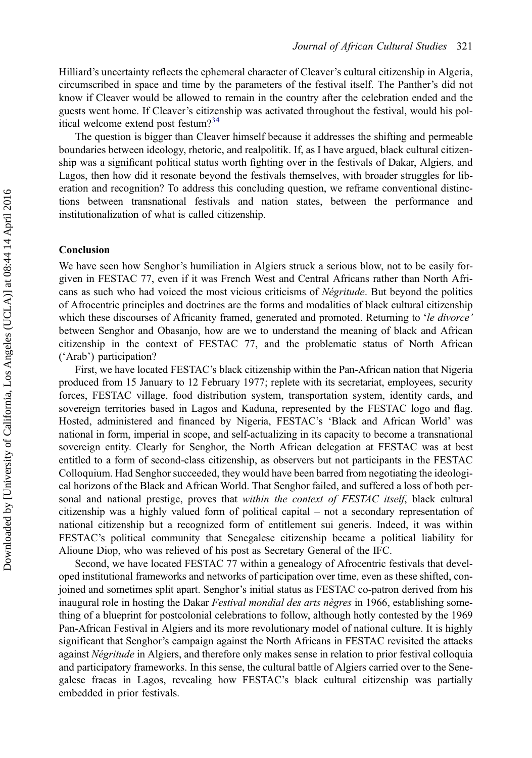Hilliard's uncertainty reflects the ephemeral character of Cleaver's cultural citizenship in Algeria, circumscribed in space and time by the parameters of the festival itself. The Panther's did not know if Cleaver would be allowed to remain in the country after the celebration ended and the guests went home. If Cleaver's citizenship was activated throughout the festival, would his political welcome extend post festum?[34](#page-12-0)

The question is bigger than Cleaver himself because it addresses the shifting and permeable boundaries between ideology, rhetoric, and realpolitik. If, as I have argued, black cultural citizenship was a significant political status worth fighting over in the festivals of Dakar, Algiers, and Lagos, then how did it resonate beyond the festivals themselves, with broader struggles for liberation and recognition? To address this concluding question, we reframe conventional distinctions between transnational festivals and nation states, between the performance and institutionalization of what is called citizenship.

# Conclusion

We have seen how Senghor's humiliation in Algiers struck a serious blow, not to be easily forgiven in FESTAC 77, even if it was French West and Central Africans rather than North Africans as such who had voiced the most vicious criticisms of Négritude. But beyond the politics of Afrocentric principles and doctrines are the forms and modalities of black cultural citizenship which these discourses of Africanity framed, generated and promoted. Returning to 'le divorce' between Senghor and Obasanjo, how are we to understand the meaning of black and African citizenship in the context of FESTAC 77, and the problematic status of North African ('Arab') participation?

First, we have located FESTAC's black citizenship within the Pan-African nation that Nigeria produced from 15 January to 12 February 1977; replete with its secretariat, employees, security forces, FESTAC village, food distribution system, transportation system, identity cards, and sovereign territories based in Lagos and Kaduna, represented by the FESTAC logo and flag. Hosted, administered and financed by Nigeria, FESTAC's 'Black and African World' was national in form, imperial in scope, and self-actualizing in its capacity to become a transnational sovereign entity. Clearly for Senghor, the North African delegation at FESTAC was at best entitled to a form of second-class citizenship, as observers but not participants in the FESTAC Colloquium. Had Senghor succeeded, they would have been barred from negotiating the ideological horizons of the Black and African World. That Senghor failed, and suffered a loss of both personal and national prestige, proves that within the context of FESTAC itself, black cultural citizenship was a highly valued form of political capital – not a secondary representation of national citizenship but a recognized form of entitlement sui generis. Indeed, it was within FESTAC's political community that Senegalese citizenship became a political liability for Alioune Diop, who was relieved of his post as Secretary General of the IFC.

Second, we have located FESTAC 77 within a genealogy of Afrocentric festivals that developed institutional frameworks and networks of participation over time, even as these shifted, conjoined and sometimes split apart. Senghor's initial status as FESTAC co-patron derived from his inaugural role in hosting the Dakar *Festival mondial des arts nègres* in 1966, establishing something of a blueprint for postcolonial celebrations to follow, although hotly contested by the 1969 Pan-African Festival in Algiers and its more revolutionary model of national culture. It is highly significant that Senghor's campaign against the North Africans in FESTAC revisited the attacks against Négritude in Algiers, and therefore only makes sense in relation to prior festival colloquia and participatory frameworks. In this sense, the cultural battle of Algiers carried over to the Senegalese fracas in Lagos, revealing how FESTAC's black cultural citizenship was partially embedded in prior festivals.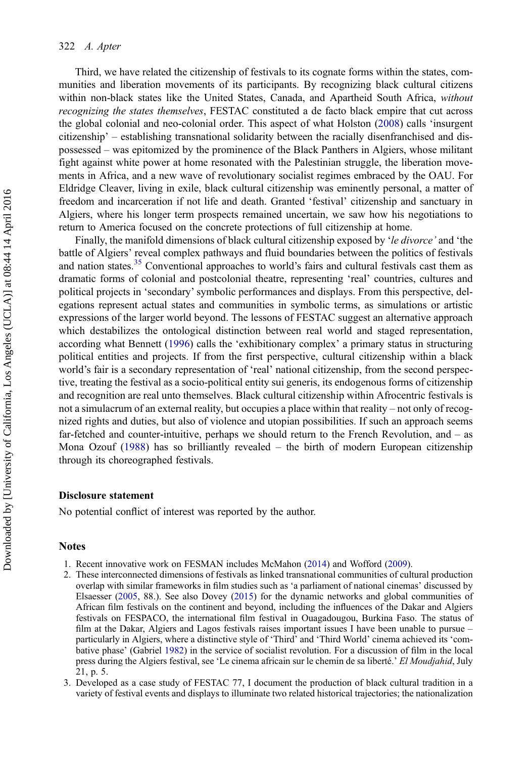<span id="page-10-0"></span>Third, we have related the citizenship of festivals to its cognate forms within the states, communities and liberation movements of its participants. By recognizing black cultural citizens within non-black states like the United States, Canada, and Apartheid South Africa, without recognizing the states themselves, FESTAC constituted a de facto black empire that cut across the global colonial and neo-colonial order. This aspect of what Holston ([2008\)](#page-13-0) calls 'insurgent citizenship' – establishing transnational solidarity between the racially disenfranchised and dispossessed – was epitomized by the prominence of the Black Panthers in Algiers, whose militant fight against white power at home resonated with the Palestinian struggle, the liberation movements in Africa, and a new wave of revolutionary socialist regimes embraced by the OAU. For Eldridge Cleaver, living in exile, black cultural citizenship was eminently personal, a matter of freedom and incarceration if not life and death. Granted 'festival' citizenship and sanctuary in Algiers, where his longer term prospects remained uncertain, we saw how his negotiations to return to America focused on the concrete protections of full citizenship at home.

Finally, the manifold dimensions of black cultural citizenship exposed by 'le divorce' and 'the battle of Algiers' reveal complex pathways and fluid boundaries between the politics of festivals and nation states.<sup>[35](#page-12-0)</sup> Conventional approaches to world's fairs and cultural festivals cast them as dramatic forms of colonial and postcolonial theatre, representing 'real' countries, cultures and political projects in 'secondary' symbolic performances and displays. From this perspective, delegations represent actual states and communities in symbolic terms, as simulations or artistic expressions of the larger world beyond. The lessons of FESTAC suggest an alternative approach which destabilizes the ontological distinction between real world and staged representation, according what Bennett [\(1996](#page-12-0)) calls the 'exhibitionary complex' a primary status in structuring political entities and projects. If from the first perspective, cultural citizenship within a black world's fair is a secondary representation of 'real' national citizenship, from the second perspective, treating the festival as a socio-political entity sui generis, its endogenous forms of citizenship and recognition are real unto themselves. Black cultural citizenship within Afrocentric festivals is not a simulacrum of an external reality, but occupies a place within that reality – not only of recognized rights and duties, but also of violence and utopian possibilities. If such an approach seems far-fetched and counter-intuitive, perhaps we should return to the French Revolution, and – as Mona Ozouf [\(1988](#page-13-0)) has so brilliantly revealed – the birth of modern European citizenship through its choreographed festivals.

## Disclosure statement

No potential conflict of interest was reported by the author.

### **Notes**

- 1. Recent innovative work on FESMAN includes McMahon [\(2014](#page-13-0)) and Wofford ([2009\)](#page-14-0).
- 2. These interconnected dimensions of festivals as linked transnational communities of cultural production overlap with similar frameworks in film studies such as 'a parliament of national cinemas' discussed by Elsaesser ([2005,](#page-13-0) 88.). See also Dovey [\(2015](#page-13-0)) for the dynamic networks and global communities of African film festivals on the continent and beyond, including the influences of the Dakar and Algiers festivals on FESPACO, the international film festival in Ouagadougou, Burkina Faso. The status of film at the Dakar, Algiers and Lagos festivals raises important issues I have been unable to pursue – particularly in Algiers, where a distinctive style of 'Third' and 'Third World' cinema achieved its 'combative phase' (Gabriel [1982\)](#page-13-0) in the service of socialist revolution. For a discussion of film in the local press during the Algiers festival, see 'Le cinema africain sur le chemin de sa liberté.' El Moudjahid, July 21, p. 5.
- 3. Developed as a case study of FESTAC 77, I document the production of black cultural tradition in a variety of festival events and displays to illuminate two related historical trajectories; the nationalization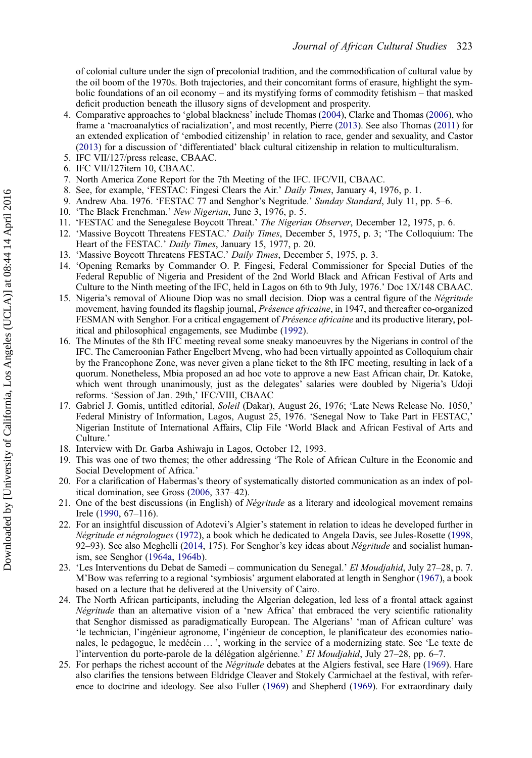<span id="page-11-0"></span>of colonial culture under the sign of precolonial tradition, and the commodification of cultural value by the oil boom of the 1970s. Both trajectories, and their concomitant forms of erasure, highlight the symbolic foundations of an oil economy – and its mystifying forms of commodity fetishism – that masked deficit production beneath the illusory signs of development and prosperity.

- 4. Comparative approaches to 'global blackness' include Thomas [\(2004](#page-13-0)), Clarke and Thomas ([2006\)](#page-12-0), who frame a 'macroanalytics of racialization', and most recently, Pierre ([2013\)](#page-13-0). See also Thomas [\(2011](#page-13-0)) for an extended explication of 'embodied citizenship' in relation to race, gender and sexuality, and Castor [\(2013](#page-12-0)) for a discussion of 'differentiated' black cultural citizenship in relation to multiculturalism.
- 5. IFC VII/127/press release, CBAAC.
- 6. IFC VII/127item 10, CBAAC.
- 7. North America Zone Report for the 7th Meeting of the IFC. IFC/VII, CBAAC.
- 8. See, for example, 'FESTAC: Fingesi Clears the Air.' Daily Times, January 4, 1976, p. 1.
- 9. Andrew Aba. 1976. 'FESTAC 77 and Senghor's Negritude.' Sunday Standard, July 11, pp. 5–6.
- 10. 'The Black Frenchman.' New Nigerian, June 3, 1976, p. 5.
- 11. 'FESTAC and the Senegalese Boycott Threat.' The Nigerian Observer, December 12, 1975, p. 6.
- 12. 'Massive Boycott Threatens FESTAC.' Daily Times, December 5, 1975, p. 3; 'The Colloquium: The Heart of the FESTAC.' Daily Times, January 15, 1977, p. 20.
- 13. 'Massive Boycott Threatens FESTAC.' Daily Times, December 5, 1975, p. 3.
- 14. 'Opening Remarks by Commander O. P. Fingesi, Federal Commissioner for Special Duties of the Federal Republic of Nigeria and President of the 2nd World Black and African Festival of Arts and Culture to the Ninth meeting of the IFC, held in Lagos on 6th to 9th July, 1976.' Doc 1X/148 CBAAC.
- 15. Nigeria's removal of Alioune Diop was no small decision. Diop was a central figure of the Négritude movement, having founded its flagship journal, *Présence africaine*, in 1947, and thereafter co-organized FESMAN with Senghor. For a critical engagement of *Présence africaine* and its productive literary, political and philosophical engagements, see Mudimbe ([1992\)](#page-13-0).
- 16. The Minutes of the 8th IFC meeting reveal some sneaky manoeuvres by the Nigerians in control of the IFC. The Cameroonian Father Engelbert Mveng, who had been virtually appointed as Colloquium chair by the Francophone Zone, was never given a plane ticket to the 8th IFC meeting, resulting in lack of a quorum. Nonetheless, Mbia proposed an ad hoc vote to approve a new East African chair, Dr. Katoke, which went through unanimously, just as the delegates' salaries were doubled by Nigeria's Udoji reforms. 'Session of Jan. 29th,' IFC/VIII, CBAAC
- 17. Gabriel J. Gomis, untitled editorial, Soleil (Dakar), August 26, 1976; 'Late News Release No. 1050,' Federal Ministry of Information, Lagos, August 25, 1976. 'Senegal Now to Take Part in FESTAC,' Nigerian Institute of International Affairs, Clip File 'World Black and African Festival of Arts and Culture.'
- 18. Interview with Dr. Garba Ashiwaju in Lagos, October 12, 1993.
- 19. This was one of two themes; the other addressing 'The Role of African Culture in the Economic and Social Development of Africa.'
- 20. For a clarification of Habermas's theory of systematically distorted communication as an index of political domination, see Gross ([2006,](#page-13-0) 337–42).
- 21. One of the best discussions (in English) of Négritude as a literary and ideological movement remains Irele [\(1990](#page-13-0), 67–116).
- 22. For an insightful discussion of Adotevi's Algier's statement in relation to ideas he developed further in Négritude et négrologues [\(1972](#page-12-0)), a book which he dedicated to Angela Davis, see Jules-Rosette [\(1998](#page-13-0), 92–93). See also Meghelli [\(2014](#page-13-0), 175). For Senghor's key ideas about Négritude and socialist humanism, see Senghor ([1964a](#page-13-0), [1964b\)](#page-13-0).
- 23. 'Les Interventions du Debat de Samedi communication du Senegal.' El Moudjahid, July 27–28, p. 7. M'Bow was referring to a regional 'symbiosis' argument elaborated at length in Senghor ([1967\)](#page-13-0), a book based on a lecture that he delivered at the University of Cairo.
- 24. The North African participants, including the Algerian delegation, led less of a frontal attack against Négritude than an alternative vision of a 'new Africa' that embraced the very scientific rationality that Senghor dismissed as paradigmatically European. The Algerians' 'man of African culture' was 'le technician, l'ingénieur agronome, l'ingénieur de conception, le planificateur des economies nationales, le pedagogue, le medécin … ', working in the service of a modernizing state. See 'Le texte de l'intervention du porte-parole de la délégation algérienne.' El Moudjahid, July 27–28, pp. 6–7.
- 25. For perhaps the richest account of the *Négritude* debates at the Algiers festival, see Hare ([1969\)](#page-13-0). Hare also clarifies the tensions between Eldridge Cleaver and Stokely Carmichael at the festival, with reference to doctrine and ideology. See also Fuller ([1969\)](#page-13-0) and Shepherd [\(1969](#page-13-0)). For extraordinary daily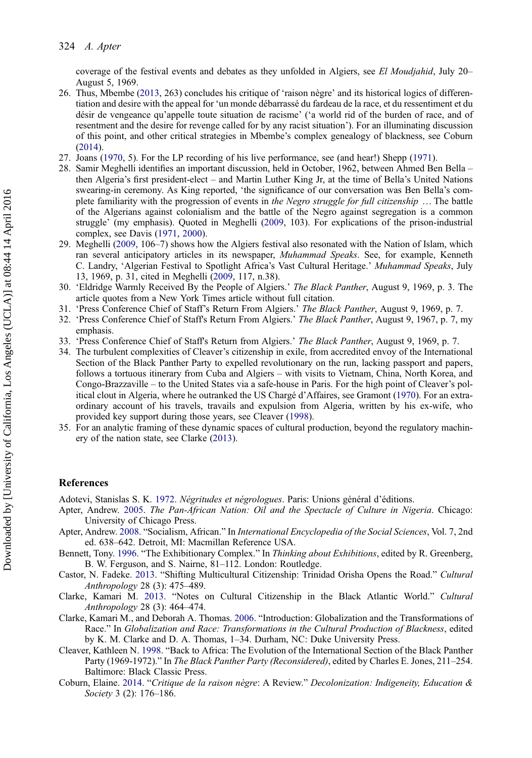<span id="page-12-0"></span>coverage of the festival events and debates as they unfolded in Algiers, see El Moudjahid, July 20– August 5, 1969.

- 26. Thus, Mbembe ([2013,](#page-13-0) 263) concludes his critique of 'raison nègre' and its historical logics of differentiation and desire with the appeal for 'un monde débarrassé du fardeau de la race, et du ressentiment et du désir de vengeance qu'appelle toute situation de racisme' ('a world rid of the burden of race, and of resentment and the desire for revenge called for by any racist situation'). For an illuminating discussion of this point, and other critical strategies in Mbembe's complex genealogy of blackness, see Coburn (2014).
- 27. Joans ([1970,](#page-13-0) 5). For the LP recording of his live performance, see (and hear!) Shepp ([1971\)](#page-13-0).
- 28. Samir Meghelli identifies an important discussion, held in October, 1962, between Ahmed Ben Bella then Algeria's first president-elect – and Martin Luther King Jr, at the time of Bella's United Nations swearing-in ceremony. As King reported, 'the significance of our conversation was Ben Bella's complete familiarity with the progression of events in the Negro struggle for full citizenship ... The battle of the Algerians against colonialism and the battle of the Negro against segregation is a common struggle' (my emphasis). Quoted in Meghelli [\(2009](#page-13-0), 103). For explications of the prison-industrial complex, see Davis [\(1971](#page-13-0), [2000](#page-13-0)).
- 29. Meghelli ([2009,](#page-13-0) 106–7) shows how the Algiers festival also resonated with the Nation of Islam, which ran several anticipatory articles in its newspaper, *Muhammad Speaks*. See, for example, Kenneth C. Landry, 'Algerian Festival to Spotlight Africa's Vast Cultural Heritage.' Muhammad Speaks, July 13, 1969, p. 31, cited in Meghelli ([2009,](#page-13-0) 117, n.38).
- 30. 'Eldridge Warmly Received By the People of Algiers.' The Black Panther, August 9, 1969, p. 3. The article quotes from a New York Times article without full citation.
- 31. 'Press Conference Chief of Staff's Return From Algiers.' The Black Panther, August 9, 1969, p. 7.
- 32. 'Press Conference Chief of Staff's Return From Algiers.' The Black Panther, August 9, 1967, p. 7, my emphasis.
- 33. 'Press Conference Chief of Staff's Return from Algiers.' The Black Panther, August 9, 1969, p. 7.
- 34. The turbulent complexities of Cleaver's citizenship in exile, from accredited envoy of the International Section of the Black Panther Party to expelled revolutionary on the run, lacking passport and papers, follows a tortuous itinerary from Cuba and Algiers – with visits to Vietnam, China, North Korea, and Congo-Brazzaville – to the United States via a safe-house in Paris. For the high point of Cleaver's political clout in Algeria, where he outranked the US Chargé d'Affaires, see Gramont ([1970\)](#page-13-0). For an extraordinary account of his travels, travails and expulsion from Algeria, written by his ex-wife, who provided key support during those years, see Cleaver (1998).
- 35. For an analytic framing of these dynamic spaces of cultural production, beyond the regulatory machinery of the nation state, see Clarke (2013).

#### References

Adotevi, Stanislas S. K. [1972.](#page-11-0) Négritudes et négrologues. Paris: Unions général d'éditions.

- Apter, Andrew. [2005.](#page-2-0) The Pan-African Nation: Oil and the Spectacle of Culture in Nigeria. Chicago: University of Chicago Press.
- Apter, Andrew. [2008.](#page-4-0) "Socialism, African." In International Encyclopedia of the Social Sciences, Vol. 7, 2nd ed. 638–642. Detroit, MI: Macmillan Reference USA.
- Bennett, Tony. [1996.](#page-10-0) "The Exhibitionary Complex." In Thinking about Exhibitions, edited by R. Greenberg, B. W. Ferguson, and S. Nairne, 81–112. London: Routledge.
- Castor, N. Fadeke. [2013.](#page-11-0) "Shifting Multicultural Citizenship: Trinidad Orisha Opens the Road." Cultural Anthropology 28 (3): 475–489.
- Clarke, Kamari M. 2013. "Notes on Cultural Citizenship in the Black Atlantic World." Cultural Anthropology 28 (3): 464–474.
- Clarke, Kamari M., and Deborah A. Thomas. [2006.](#page-11-0) "Introduction: Globalization and the Transformations of Race." In Globalization and Race: Transformations in the Cultural Production of Blackness, edited by K. M. Clarke and D. A. Thomas, 1–34. Durham, NC: Duke University Press.
- Cleaver, Kathleen N. 1998. "Back to Africa: The Evolution of the International Section of the Black Panther Party (1969-1972)." In The Black Panther Party (Reconsidered), edited by Charles E. Jones, 211–254. Baltimore: Black Classic Press.
- Coburn, Elaine. 2014. "Critique de la raison nègre: A Review." Decolonization: Indigeneity, Education & Society 3 (2): 176–186.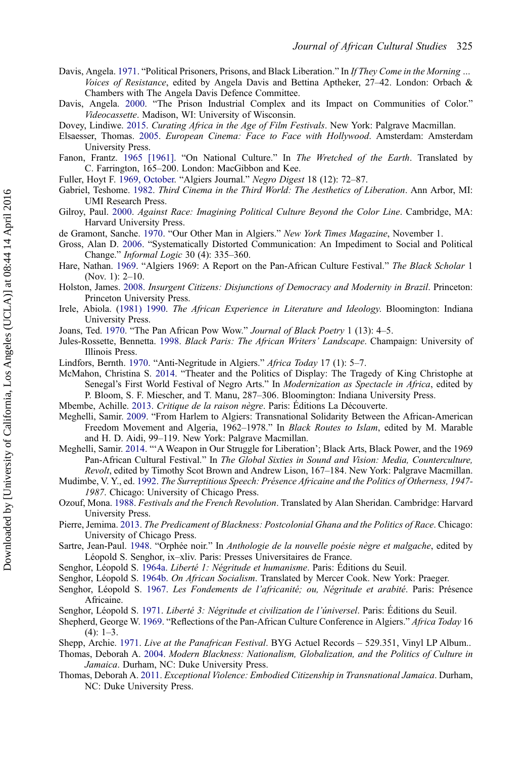- <span id="page-13-0"></span>Davis, Angela. [1971](#page-12-0). "Political Prisoners, Prisons, and Black Liberation." In If They Come in the Morning ... Voices of Resistance, edited by Angela Davis and Bettina Aptheker, 27–42. London: Orbach & Chambers with The Angela Davis Defence Committee.
- Davis, Angela. [2000](#page-12-0). "The Prison Industrial Complex and its Impact on Communities of Color." Videocassette. Madison, WI: University of Wisconsin.
- Dovey, Lindiwe. [2015](#page-10-0). Curating Africa in the Age of Film Festivals. New York: Palgrave Macmillan.
- Elsaesser, Thomas. [2005](#page-10-0). European Cinema: Face to Face with Hollywood. Amsterdam: Amsterdam University Press.
- Fanon, Frantz. [1965 \[1961\]](#page-4-0). "On National Culture." In *The Wretched of the Earth*. Translated by C. Farrington, 165–200. London: MacGibbon and Kee.
- Fuller, Hoyt F. [1969, October.](#page-11-0) "Algiers Journal." Negro Digest 18 (12): 72–87.
- Gabriel, Teshome. [1982.](#page-10-0) Third Cinema in the Third World: The Aesthetics of Liberation. Ann Arbor, MI: UMI Research Press.
- Gilroy, Paul. [2000](#page-6-0). Against Race: Imagining Political Culture Beyond the Color Line. Cambridge, MA: Harvard University Press.
- de Gramont, Sanche. [1970](#page-12-0). "Our Other Man in Algiers." New York Times Magazine, November 1.
- Gross, Alan D. [2006.](#page-11-0) "Systematically Distorted Communication: An Impediment to Social and Political Change." Informal Logic 30 (4): 335–360.
- Hare, Nathan. [1969](#page-11-0). "Algiers 1969: A Report on the Pan-African Culture Festival." The Black Scholar 1 (Nov. 1): 2–10.
- Holston, James. [2008.](#page-10-0) Insurgent Citizens: Disjunctions of Democracy and Modernity in Brazil. Princeton: Princeton University Press.
- Irele, Abiola. ([1981\) 1990.](#page-11-0) The African Experience in Literature and Ideology. Bloomington: Indiana University Press.
- Joans, Ted. [1970.](#page-12-0) "The Pan African Pow Wow." Journal of Black Poetry 1 (13): 4–5.
- Jules-Rossette, Bennetta. [1998](#page-11-0). Black Paris: The African Writers' Landscape. Champaign: University of Illinois Press.
- Lindfors, Bernth. [1970](#page-5-0). "Anti-Negritude in Algiers." Africa Today 17 (1): 5–7.
- McMahon, Christina S. [2014](#page-10-0). "Theater and the Politics of Display: The Tragedy of King Christophe at Senegal's First World Festival of Negro Arts." In Modernization as Spectacle in Africa, edited by P. Bloom, S. F. Miescher, and T. Manu, 287–306. Bloomington: Indiana University Press.
- Mbembe, Achille. [2013](#page-6-0). Critique de la raison nègre. Paris: Éditions La Découverte.
- Meghelli, Samir. [2009](#page-6-0). "From Harlem to Algiers: Transnational Solidarity Between the African-American Freedom Movement and Algeria, 1962–1978." In Black Routes to Islam, edited by M. Marable and H. D. Aidi, 99–119. New York: Palgrave Macmillan.
- Meghelli, Samir. [2014](#page-11-0). "'A Weapon in Our Struggle for Liberation'; Black Arts, Black Power, and the 1969 Pan-African Cultural Festival." In The Global Sixties in Sound and Vision: Media, Counterculture, Revolt, edited by Timothy Scot Brown and Andrew Lison, 167–184. New York: Palgrave Macmillan.
- Mudimbe, V. Y., ed. [1992](#page-11-0). The Surreptitious Speech: Présence Africaine and the Politics of Otherness, 1947- 1987. Chicago: University of Chicago Press.
- Ozouf, Mona. [1988](#page-10-0). Festivals and the French Revolution. Translated by Alan Sheridan. Cambridge: Harvard University Press.
- Pierre, Jemima. [2013.](#page-11-0) The Predicament of Blackness: Postcolonial Ghana and the Politics of Race. Chicago: University of Chicago Press.
- Sartre, Jean-Paul. [1948.](#page-6-0) "Orphée noir." In Anthologie de la nouvelle poésie nègre et malgache, edited by Léopold S. Senghor, ix–xliv. Paris: Presses Universitaires de France.
- Senghor, Léopold S. [1964a](#page-11-0). Liberté 1: Négritude et humanisme. Paris: Éditions du Seuil.
- Senghor, Léopold S. [1964b.](#page-11-0) On African Socialism. Translated by Mercer Cook. New York: Praeger.
- Senghor, Léopold S. [1967.](#page-11-0) Les Fondements de l'africanité; ou, Négritude et arabité. Paris: Présence Africaine.
- Senghor, Léopold S. [1971](#page-6-0). Liberté 3: Négritude et civilization de l'úniversel. Paris: Éditions du Seuil.
- Shepherd, George W. [1969](#page-11-0). "Reflections of the Pan-African Culture Conference in Algiers." Africa Today 16  $(4): 1-3.$
- Shepp, Archie. [1971](#page-12-0). Live at the Panafrican Festival. BYG Actuel Records 529.351, Vinyl LP Album..
- Thomas, Deborah A. [2004.](#page-11-0) Modern Blackness: Nationalism, Globalization, and the Politics of Culture in Jamaica. Durham, NC: Duke University Press.
- Thomas, Deborah A. [2011](#page-11-0). Exceptional Violence: Embodied Citizenship in Transnational Jamaica. Durham, NC: Duke University Press.